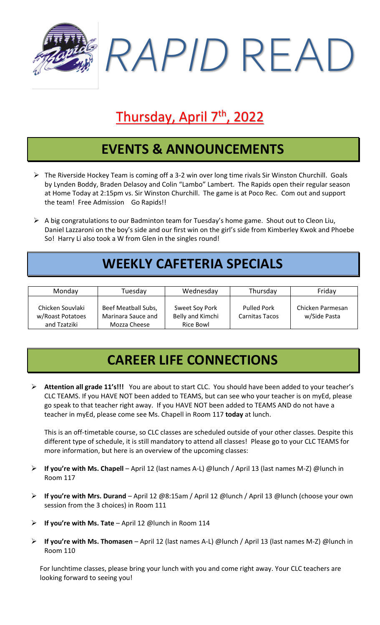

# Thursday, April 7<sup>th</sup>, 2022

#### **EVENTS & ANNOUNCEMENTS**

- ➢ The Riverside Hockey Team is coming off a 3-2 win over long time rivals Sir Winston Churchill. Goals by Lynden Boddy, Braden Delasoy and Colin "Lambo" Lambert. The Rapids open their regular season at Home Today at 2:15pm vs. Sir Winston Churchill. The game is at Poco Rec. Com out and support the team! Free Admission Go Rapids!!
- $\triangleright$  A big congratulations to our Badminton team for Tuesday's home game. Shout out to Cleon Liu, Daniel Lazzaroni on the boy's side and our first win on the girl's side from Kimberley Kwok and Phoebe So! Harry Li also took a W from Glen in the singles round!

# **WEEKLY CAFETERIA SPECIALS**

| Monday                                               | Tuesday                                                   | Wednesday                                       | Thursday                                    | Friday                           |
|------------------------------------------------------|-----------------------------------------------------------|-------------------------------------------------|---------------------------------------------|----------------------------------|
| Chicken Souvlaki<br>w/Roast Potatoes<br>and Tzatziki | Beef Meatball Subs,<br>Marinara Sauce and<br>Mozza Cheese | Sweet Soy Pork<br>Belly and Kimchi<br>Rice Bowl | <b>Pulled Pork</b><br><b>Carnitas Tacos</b> | Chicken Parmesan<br>w/Side Pasta |

# **CAREER LIFE CONNECTIONS**

➢ **Attention all grade 11's!!!** You are about to start CLC. You should have been added to your teacher's CLC TEAMS. If you HAVE NOT been added to TEAMS, but can see who your teacher is on myEd, please go speak to that teacher right away. If you HAVE NOT been added to TEAMS AND do not have a teacher in myEd, please come see Ms. Chapell in Room 117 **today** at lunch.

This is an off-timetable course, so CLC classes are scheduled outside of your other classes. Despite this different type of schedule, it is still mandatory to attend all classes! Please go to your CLC TEAMS for more information, but here is an overview of the upcoming classes:

- ➢ **If you're with Ms. Chapell** April 12 (last names A-L) @lunch / April 13 (last names M-Z) @lunch in Room 117
- ➢ **If you're with Mrs. Durand** April 12 @8:15am / April 12 @lunch / April 13 @lunch (choose your own session from the 3 choices) in Room 111
- ➢ **If you're with Ms. Tate** April 12 @lunch in Room 114
- ➢ **If you're with Ms. Thomasen** April 12 (last names A-L) @lunch / April 13 (last names M-Z) @lunch in Room 110

For lunchtime classes, please bring your lunch with you and come right away. Your CLC teachers are looking forward to seeing you!